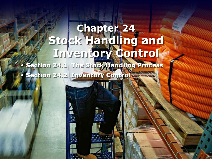# **Chapter 24 Stock Handling and Inventory Control**

• **Section 24.1 The Stock Handling Process** • **Section 24.2 Inventory Control**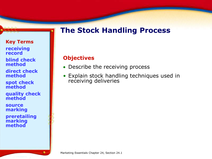# **The Stock Handling Process**

#### **Key Terms**

**receiving record**

**blind check method**

**direct check method**

**spot check method**

**quality check method**

**source marking**

**preretailing marking method** 

#### **Objectives**

- Describe the receiving process
- Explain stock handling techniques used in receiving deliveries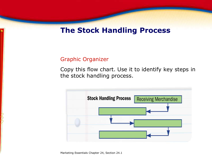### **The Stock Handling Process**

#### Graphic Organizer

Copy this flow chart. Use it to identify key steps in the stock handling process.

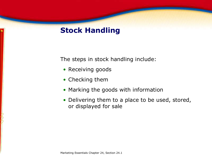# **Stock Handling**

The steps in stock handling include:

- Receiving goods
- Checking them
- Marking the goods with information
- Delivering them to a place to be used, stored, or displayed for sale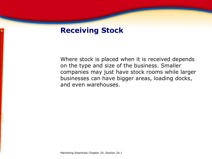### **Receiving Stock**

Where stock is placed when it is received depends on the type and size of the business. Smaller companies may just have stock rooms while larger businesses can have bigger areas, loading docks, and even warehouses.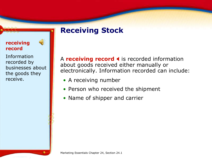# **Receiving Stock**

#### **receiving record**

Information recorded by businesses about the goods they receive.

 $\bigcirc$ 

A **receiving record I** is recorded information about goods received either manually or electronically. Information recorded can include:

- A receiving number
- Person who received the shipment
- Name of shipper and carrier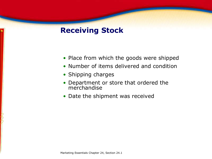# **Receiving Stock**

- Place from which the goods were shipped
- Number of items delivered and condition
- Shipping charges
- Department or store that ordered the merchandise
- Date the shipment was received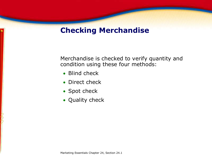Merchandise is checked to verify quantity and condition using these four methods:

- Blind check
- Direct check
- Spot check
- Quality check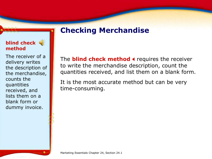#### **blind check method**

The receiver of a delivery writes the description of the merchandise, counts the quantities received, and lists them on a blank form or dummy invoice.

The **blind check method** I requires the receiver to write the merchandise description, count the quantities received, and list them on a blank form.

It is the most accurate method but can be very time-consuming.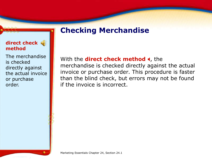#### **direct check method**

The merchandise is checked directly against the actual invoice or purchase order.

#### With the **direct check method 4**, the

merchandise is checked directly against the actual invoice or purchase order. This procedure is faster than the blind check, but errors may not be found if the invoice is incorrect.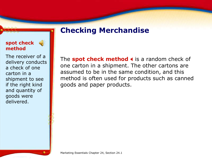#### **spot check method**

 $\left(\frac{1}{2}\right)$ 

The receiver of a delivery conducts a check of one carton in a shipment to see if the right kind and quantity of goods were delivered.

The **spot check method 4** is a random check of one carton in a shipment. The other cartons are assumed to be in the same condition, and this method is often used for products such as canned goods and paper products.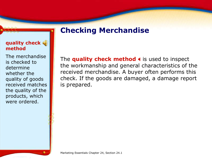#### **quality check method**

The merchandise is checked to determine whether the quality of goods received matches the quality of the products, which were ordered.

The **quality check method 4** is used to inspect the workmanship and general characteristics of the received merchandise. A buyer often performs this check. If the goods are damaged, a damage report is prepared.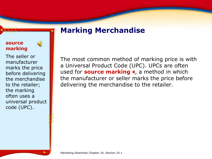# **Marking Merchandise**

#### **source marking**



The seller or manufacturer marks the price before delivering the merchandise to the retailer; the marking often uses a universal product code (UPC).

The most common method of marking price is with a Universal Product Code (UPC). UPCs are often used for **source marking 4**, a method in which the manufacturer or seller marks the price before delivering the merchandise to the retailer.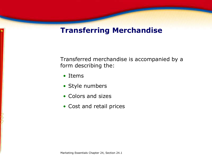### **Transferring Merchandise**

Transferred merchandise is accompanied by a form describing the:

- Items
- Style numbers
- Colors and sizes
- Cost and retail prices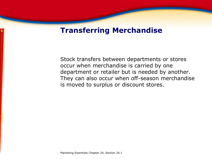### **Transferring Merchandise**

Stock transfers between departments or stores occur when merchandise is carried by one department or retailer but is needed by another. They can also occur when off-season merchandise is moved to surplus or discount stores.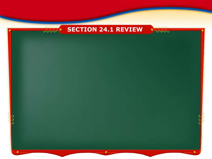

 $a \wedge a$ 



VVVV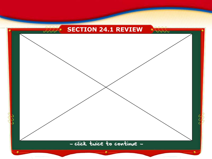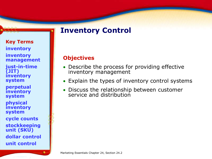# **Inventory Control**

**Key Terms inventory inventory management just-in-time (JIT) inventory system perpetual inventory system physical inventory system cycle counts stockkeeping unit (SKU) dollar control**

**unit control**

#### **Objectives**

- Describe the process for providing effective inventory management
- Explain the types of inventory control systems
- Discuss the relationship between customer service and distribution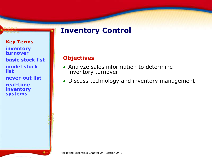# **Inventory Control**

#### **Key Terms inventory turnover basic stock list model stock list**

**never-out list**

**real-time inventory systems** 

#### **Objectives**

- Analyze sales information to determine inventory turnover
- Discuss technology and inventory management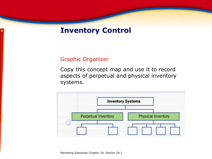### **Inventory Control**

#### Graphic Organizer

Copy this concept map and use it to record aspects of perpetual and physical inventory systems.

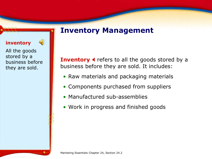### **Inventory Management**

#### **inventory**

All the goods stored by a business before they are sold.

 $\left( \cdot \right)$ 

**Inventory 4** refers to all the goods stored by a business before they are sold. It includes:

- Raw materials and packaging materials
- Components purchased from suppliers
- Manufactured sub-assemblies
- Work in progress and finished goods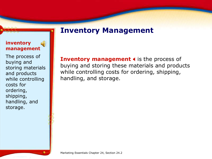### **Inventory Management**

#### **inventory management**

The process of buying and storing materials and products while controlling costs for ordering, shipping, handling, and storage.

**Inventory management 4** is the process of buying and storing these materials and products while controlling costs for ordering, shipping, handling, and storage.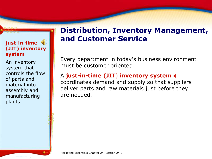#### **just-in-time (JIT) inventory system**

An inventory system that controls the flow of parts and material into assembly and manufacturing plants.

# **Distribution, Inventory Management, and Customer Service**

Every department in today's business environment must be customer oriented.

### A **just-in-time (JIT**) **inventory system** X

coordinates demand and supply so that suppliers deliver parts and raw materials just before they are needed.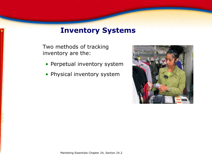### **Inventory Systems**

Two methods of tracking inventory are the:

- Perpetual inventory system
- Physical inventory system

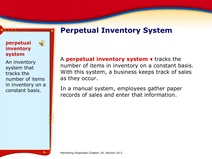### **Perpetual Inventory System**

#### **perpetual inventory system**

An inventory system that tracks the number of items in inventory on a constant basis.

 $\left(\frac{1}{2}\right)$ 

A **perpetual inventory system 4** tracks the number of items in inventory on a constant basis. With this system, a business keeps track of sales as they occur.

In a manual system, employees gather paper records of sales and enter that information.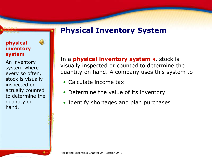# **Physical Inventory System**

#### **physical inventory system**

An inventory system where every so often, stock is visually inspected or actually counted to determine the quantity on hand.

 $\bigcirc$ 

In a **physical inventory system 4**, stock is visually inspected or counted to determine the quantity on hand. A company uses this system to:

- Calculate income tax
- Determine the value of its inventory
- Identify shortages and plan purchases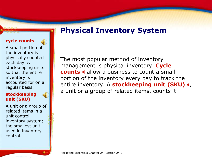# **Physical Inventory System**

#### **cycle counts**

A small portion of the inventory is physically counted each day by stockkeeping units so that the entire inventory is accounted for on a regular basis.

#### **stockkeeping unit (SKU)**

A unit or a group of related items in a unit control inventory system; the smallest unit used in inventory control.

The most popular method of inventory management is physical inventory. **Cycle counts**  $\triangleleft$  allow a business to count a small portion of the inventory every day to track the entire inventory. A **stockkeeping unit (SKU) <** a unit or a group of related items, counts it.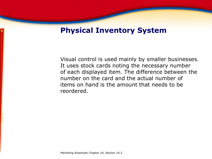### **Physical Inventory System**

Visual control is used mainly by smaller businesses. It uses stock cards noting the necessary number of each displayed item. The difference between the number on the card and the actual number of items on hand is the amount that needs to be reordered.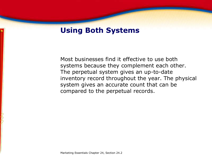Most businesses find it effective to use both systems because they complement each other. The perpetual system gives an up-to-date inventory record throughout the year. The physical system gives an accurate count that can be compared to the perpetual records.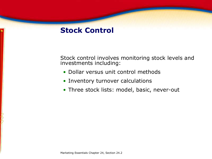### **Stock Control**

Stock control involves monitoring stock levels and investments including:

- Dollar versus unit control methods
- Inventory turnover calculations
- Three stock lists: model, basic, never-out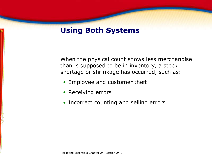When the physical count shows less merchandise than is supposed to be in inventory, a stock shortage or shrinkage has occurred, such as:

- Employee and customer theft
- Receiving errors
- Incorrect counting and selling errors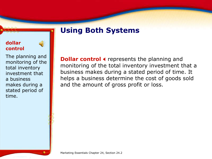#### **dollar control**



The planning and monitoring of the total inventory investment that a business makes during a stated period of time.

**Dollar control 4** represents the planning and monitoring of the total inventory investment that a business makes during a stated period of time. It helps a business determine the cost of goods sold and the amount of gross profit or loss.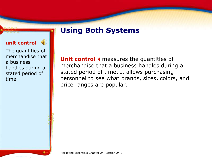#### **unit control**

The quantities of merchandise that a business handles during a stated period of time.

Unit control 4 measures the quantities of merchandise that a business handles during a stated period of time. It allows purchasing personnel to see what brands, sizes, colors, and price ranges are popular.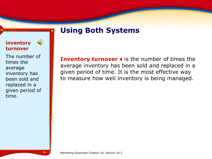#### **inventory turnover**

The number of times the average inventory has been sold and replaced in a given period of time.

 $\left(\frac{1}{2}\right)$ 

**Inventory turnover < is the number of times the** average inventory has been sold and replaced in a given period of time. It is the most effective way to measure how well inventory is being managed.

Marketing Essentials Chapter 24, Section 24.2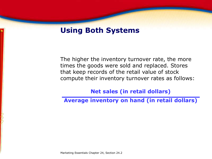The higher the inventory turnover rate, the more times the goods were sold and replaced. Stores that keep records of the retail value of stock compute their inventory turnover rates as follows:

**Net sales (in retail dollars)**

**Average inventory on hand (in retail dollars)**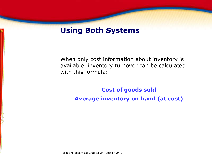When only cost information about inventory is available, inventory turnover can be calculated with this formula:

**Cost of goods sold**

**Average inventory on hand (at cost)**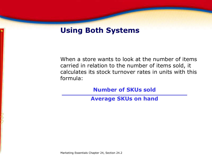When a store wants to look at the number of items carried in relation to the number of items sold, it calculates its stock turnover rates in units with this formula:

**Number of SKUs sold**

**Average SKUs on hand**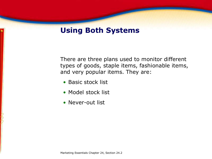There are three plans used to monitor different types of goods, staple items, fashionable items, and very popular items. They are:

- Basic stock list
- Model stock list
- Never-out list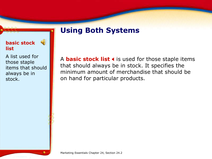#### **basic stock list**

A list used for those staple items that should always be in stock.

 $\left(\frac{1}{2}\right)$ 

A **basic stock list 4** is used for those staple items that should always be in stock. It specifies the minimum amount of merchandise that should be on hand for particular products.

Marketing Essentials Chapter 24, Section 24.2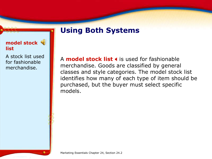A **model stock list 4** is used for fashionable merchandise. Goods are classified by general classes and style categories. The model stock list identifies how many of each type of item should be purchased, but the buyer must select specific models.

**model stock list**

A stock list used for fashionable merchandise.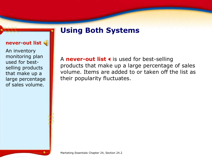#### **never-out list**

An inventory monitoring plan used for bestselling products that make up a large percentage of sales volume.

A **never-out list <** is used for best-selling products that make up a large percentage of sales volume. Items are added to or taken off the list as their popularity fluctuates.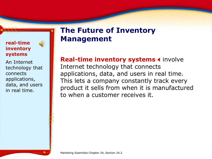#### **real-time inventory systems**

An Internet technology that connects applications, data, and users in real time.

 $\left(\begin{matrix} 1 \\ 0 \end{matrix}\right)$ 

# **The Future of Inventory Management**

#### **Real-time inventory systems 4 involve**

Internet technology that connects applications, data, and users in real time. This lets a company constantly track every product it sells from when it is manufactured to when a customer receives it.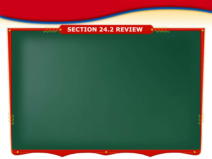### **SECTION 24.2 REVIEW**

VVVV

 $a \wedge a$  $JJJJ$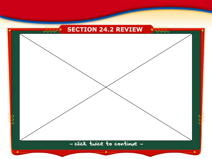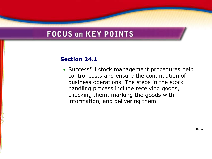# **FOCUS on KEY POINTS**

#### **Section 24.1**

• Successful stock management procedures help control costs and ensure the continuation of business operations. The steps in the stock handling process include receiving goods, checking them, marking the goods with information, and delivering them.

continued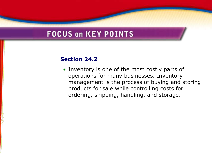# **FOCUS on KEY POINTS**

#### **Section 24.2**

• Inventory is one of the most costly parts of operations for many businesses. Inventory management is the process of buying and storing products for sale while controlling costs for ordering, shipping, handling, and storage.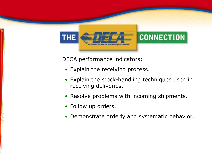

DECA performance indicators:

- Explain the receiving process.
- Explain the stock-handling techniques used in receiving deliveries.
- Resolve problems with incoming shipments.
- Follow up orders.
- Demonstrate orderly and systematic behavior.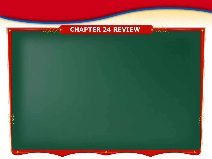### **CHAPTER 24 REVIEW**

**DOUD** 

 $\overline{a}$  $JJJJ$